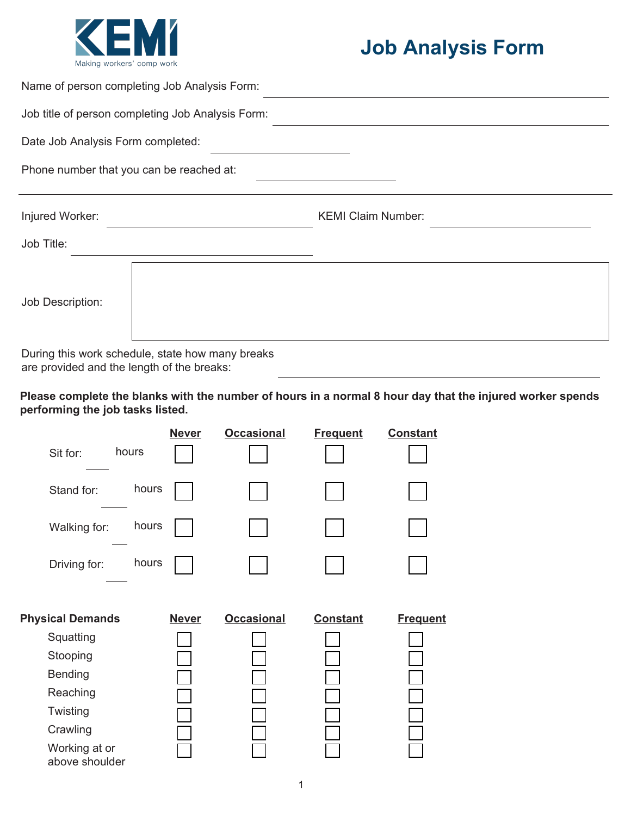

## **Job Analysis Form**

| Name of person completing Job Analysis Form:      |                           |  |  |  |
|---------------------------------------------------|---------------------------|--|--|--|
| Job title of person completing Job Analysis Form: |                           |  |  |  |
| Date Job Analysis Form completed:                 |                           |  |  |  |
| Phone number that you can be reached at:          |                           |  |  |  |
| Injured Worker:                                   | <b>KEMI Claim Number:</b> |  |  |  |
| Job Title:                                        |                           |  |  |  |
| Job Description:                                  |                           |  |  |  |

During this work schedule, state how many breaks are provided and the length of the breaks:

**Please complete the blanks with the number of hours in a normal 8 hour day that the injured worker spends performing the job tasks listed.** 

| hours<br>Sit for:               | <b>Never</b> | <b>Occasional</b> | <b>Frequent</b> | <b>Constant</b> |
|---------------------------------|--------------|-------------------|-----------------|-----------------|
| Stand for:                      | hours        |                   |                 |                 |
| Walking for:                    | hours        |                   |                 |                 |
| Driving for:                    | hours        |                   |                 |                 |
| <b>Physical Demands</b>         | <b>Never</b> | <b>Occasional</b> | <b>Constant</b> | <b>Frequent</b> |
| Squatting                       |              |                   |                 |                 |
| Stooping                        |              |                   |                 |                 |
| <b>Bending</b>                  |              |                   |                 |                 |
| Reaching                        |              |                   |                 |                 |
| Twisting                        |              |                   |                 |                 |
| Crawling                        |              |                   |                 |                 |
| Working at or<br>above shoulder |              |                   |                 |                 |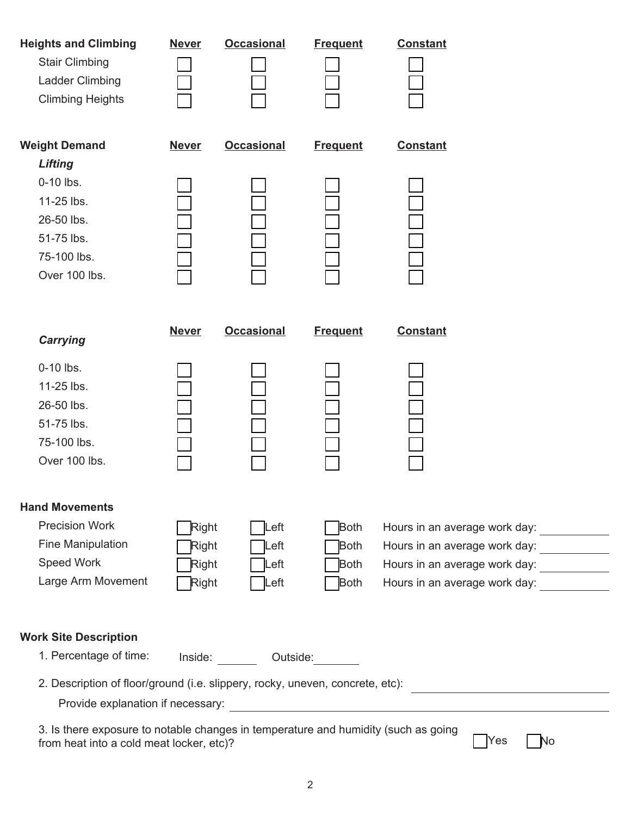| <b>Heights and Climbing</b><br><b>Stair Climbing</b><br>Ladder Climbing<br><b>Climbing Heights</b>                                                 | <b>Never</b>                                 | <b>Occasional</b>          | <b>Frequent</b>                    | <b>Constant</b>                                                                                                                        |  |  |  |
|----------------------------------------------------------------------------------------------------------------------------------------------------|----------------------------------------------|----------------------------|------------------------------------|----------------------------------------------------------------------------------------------------------------------------------------|--|--|--|
| <b>Weight Demand</b><br><b>Lifting</b>                                                                                                             | <b>Never</b>                                 | <b>Occasional</b>          | <b>Frequent</b>                    | <b>Constant</b>                                                                                                                        |  |  |  |
| $0-10$ lbs.<br>11-25 lbs.<br>26-50 lbs.<br>51-75 lbs.<br>75-100 lbs.<br>Over 100 lbs.                                                              |                                              |                            |                                    |                                                                                                                                        |  |  |  |
| <b>Carrying</b>                                                                                                                                    | <b>Never</b>                                 | <b>Occasional</b>          | <b>Frequent</b>                    | <b>Constant</b>                                                                                                                        |  |  |  |
| $0-10$ lbs.<br>11-25 lbs.<br>26-50 lbs.                                                                                                            |                                              |                            |                                    |                                                                                                                                        |  |  |  |
| 51-75 lbs.<br>75-100 lbs.<br>Over 100 lbs.                                                                                                         |                                              |                            |                                    |                                                                                                                                        |  |  |  |
| <b>Hand Movements</b>                                                                                                                              |                                              |                            |                                    |                                                                                                                                        |  |  |  |
| <b>Precision Work</b><br><b>Fine Manipulation</b><br>Speed Work                                                                                    | <b>Right</b><br><b>Right</b><br><b>Right</b> | Left<br>$L$ eft<br>$L$ eft | Both<br><b>Both</b><br><b>Both</b> | Hours in an average work day: ____________<br>Hours in an average work day: ____________<br>Hours in an average work day: ____________ |  |  |  |
| Large Arm Movement                                                                                                                                 | <b>Right</b>                                 | Left                       | <b>Both</b>                        | Hours in an average work day:                                                                                                          |  |  |  |
| <b>Work Site Description</b>                                                                                                                       |                                              |                            |                                    |                                                                                                                                        |  |  |  |
| 1. Percentage of time:                                                                                                                             |                                              | Inside: Outside:           |                                    |                                                                                                                                        |  |  |  |
| 2. Description of floor/ground (i.e. slippery, rocky, uneven, concrete, etc):                                                                      |                                              |                            |                                    |                                                                                                                                        |  |  |  |
| 3. Is there exposure to notable changes in temperature and humidity (such as going<br>Yes<br><b>No</b><br>from heat into a cold meat locker, etc)? |                                              |                            |                                    |                                                                                                                                        |  |  |  |